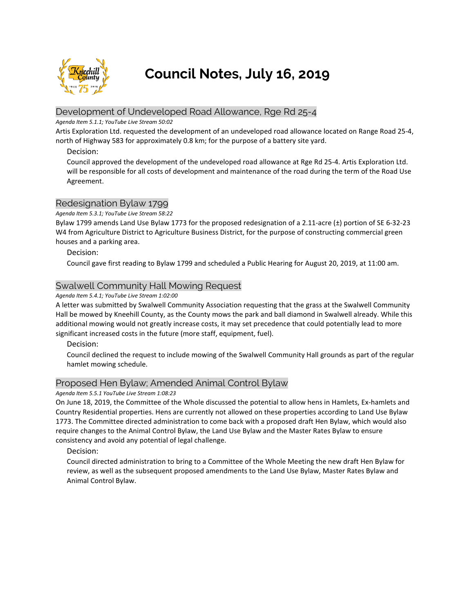

# **Council Notes, July 16, 2019**

# Development of Undeveloped Road Allowance, Rge Rd 25-4

#### *Agenda Item 5.1.1; YouTube Live Stream 50:02*

Artis Exploration Ltd. requested the development of an undeveloped road allowance located on Range Road 25-4, north of Highway 583 for approximately 0.8 km; for the purpose of a battery site yard.

## Decision:

Council approved the development of the undeveloped road allowance at Rge Rd 25-4. Artis Exploration Ltd. will be responsible for all costs of development and maintenance of the road during the term of the Road Use Agreement.

# Redesignation Bylaw 1799

#### *Agenda Item 5.3.1; YouTube Live Stream 58:22*

Bylaw 1799 amends Land Use Bylaw 1773 for the proposed redesignation of a 2.11-acre (±) portion of SE 6-32-23 W4 from Agriculture District to Agriculture Business District, for the purpose of constructing commercial green houses and a parking area.

#### Decision:

Council gave first reading to Bylaw 1799 and scheduled a Public Hearing for August 20, 2019, at 11:00 am.

# Swalwell Community Hall Mowing Request

#### *Agenda Item 5.4.1; YouTube Live Stream 1:02:00*

A letter was submitted by Swalwell Community Association requesting that the grass at the Swalwell Community Hall be mowed by Kneehill County, as the County mows the park and ball diamond in Swalwell already. While this additional mowing would not greatly increase costs, it may set precedence that could potentially lead to more significant increased costs in the future (more staff, equipment, fuel).

Decision:

Council declined the request to include mowing of the Swalwell Community Hall grounds as part of the regular hamlet mowing schedule.

# Proposed Hen Bylaw; Amended Animal Control Bylaw

*Agenda Item 5.5.1 YouTube Live Stream 1:08:23*

On June 18, 2019, the Committee of the Whole discussed the potential to allow hens in Hamlets, Ex-hamlets and Country Residential properties. Hens are currently not allowed on these properties according to Land Use Bylaw 1773. The Committee directed administration to come back with a proposed draft Hen Bylaw, which would also require changes to the Animal Control Bylaw, the Land Use Bylaw and the Master Rates Bylaw to ensure consistency and avoid any potential of legal challenge.

Decision:

Council directed administration to bring to a Committee of the Whole Meeting the new draft Hen Bylaw for review, as well as the subsequent proposed amendments to the Land Use Bylaw, Master Rates Bylaw and Animal Control Bylaw.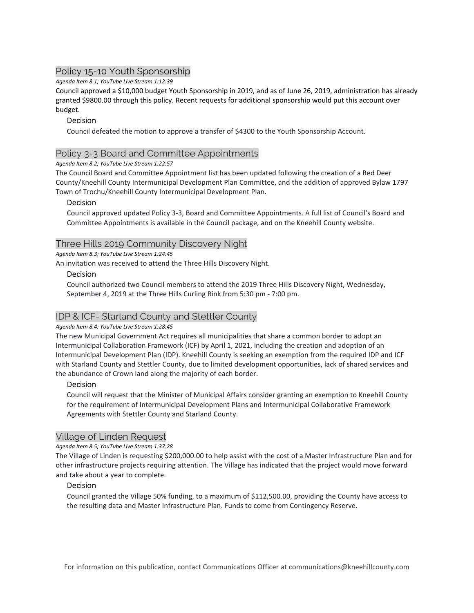# Policy 15-10 Youth Sponsorship

*Agenda Item 8.1; YouTube Live Stream 1:12:39*

Council approved a \$10,000 budget Youth Sponsorship in 2019, and as of June 26, 2019, administration has already granted \$9800.00 through this policy. Recent requests for additional sponsorship would put this account over budget.

# Decision

Council defeated the motion to approve a transfer of \$4300 to the Youth Sponsorship Account.

# Policy 3-3 Board and Committee Appointments

#### *Agenda Item 8.2; YouTube Live Stream 1:22:57*

The Council Board and Committee Appointment list has been updated following the creation of a Red Deer County/Kneehill County Intermunicipal Development Plan Committee, and the addition of approved Bylaw 1797 Town of Trochu/Kneehill County Intermunicipal Development Plan.

#### Decision

Council approved updated Policy 3-3, Board and Committee Appointments. A full list of Council's Board and Committee Appointments is available in the Council package, and on the Kneehill County website.

# Three Hills 2019 Community Discovery Night

*Agenda Item 8.3; YouTube Live Stream 1:24:45*

An invitation was received to attend the Three Hills Discovery Night.

#### Decision

Council authorized two Council members to attend the 2019 Three Hills Discovery Night, Wednesday, September 4, 2019 at the Three Hills Curling Rink from 5:30 pm - 7:00 pm.

# IDP & ICF- Starland County and Stettler County

#### *Agenda Item 8.4; YouTube Live Stream 1:28:45*

The new Municipal Government Act requires all municipalities that share a common border to adopt an Intermunicipal Collaboration Framework (ICF) by April 1, 2021, including the creation and adoption of an Intermunicipal Development Plan (IDP). Kneehill County is seeking an exemption from the required IDP and ICF with Starland County and Stettler County, due to limited development opportunities, lack of shared services and the abundance of Crown land along the majority of each border.

#### Decision

Council will request that the Minister of Municipal Affairs consider granting an exemption to Kneehill County for the requirement of Intermunicipal Development Plans and Intermunicipal Collaborative Framework Agreements with Stettler County and Starland County.

# Village of Linden Request

#### *Agenda Item 8.5; YouTube Live Stream 1:37:28*

The Village of Linden is requesting \$200,000.00 to help assist with the cost of a Master Infrastructure Plan and for other infrastructure projects requiring attention. The Village has indicated that the project would move forward and take about a year to complete.

#### Decision

Council granted the Village 50% funding, to a maximum of \$112,500.00, providing the County have access to the resulting data and Master Infrastructure Plan. Funds to come from Contingency Reserve.